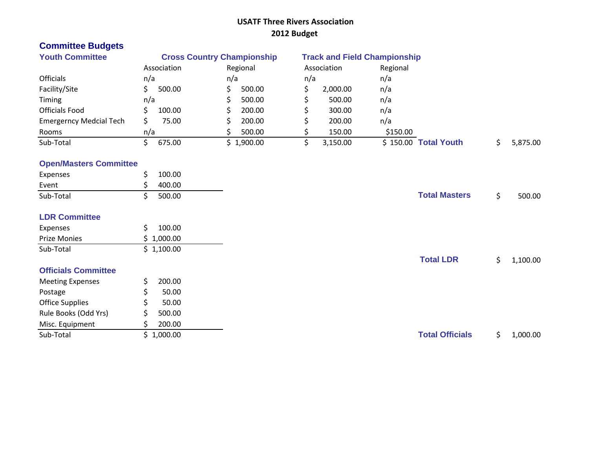#### **USATF Three Rivers Association 2012 Budget**

# **Committee Budgets**

| <b>Youth Committee</b>         |             | <b>Cross Country Championship</b> | <b>Track and Field Championship</b> |                      |          |
|--------------------------------|-------------|-----------------------------------|-------------------------------------|----------------------|----------|
|                                | Association | Regional                          | Association                         | Regional             |          |
| <b>Officials</b>               | n/a         | n/a                               | n/a                                 | n/a                  |          |
| Facility/Site                  | 500.00      | 500.00                            | 2,000.00                            | n/a                  |          |
| Timing                         | n/a         | 500.00                            | 500.00                              | n/a                  |          |
| <b>Officials Food</b>          | 100.00      | 200.00                            | 300.00                              | n/a                  |          |
| <b>Emergerncy Medcial Tech</b> | 75.00       | 200.00                            | 200.00                              | n/a                  |          |
| Rooms                          | n/a         | 500.00                            | 150.00                              | \$150.00             |          |
| Sub-Total                      | 675.00      | \$1,900.00                        | 3,150.00                            | \$150.00 Total Youth | 5,875.00 |

### **Open/Masters Committee**

| Expenses                   | \$<br>100.00 |                        |                |
|----------------------------|--------------|------------------------|----------------|
| Event                      | 400.00       |                        |                |
| Sub-Total                  | 500.00<br>S  | <b>Total Masters</b>   | \$<br>500.00   |
| <b>LDR Committee</b>       |              |                        |                |
| Expenses                   | S.<br>100.00 |                        |                |
| Prize Monies               | \$1,000.00   |                        |                |
| Sub-Total                  | \$1,100.00   |                        |                |
|                            |              | <b>Total LDR</b>       | \$<br>1,100.00 |
| <b>Officials Committee</b> |              |                        |                |
| <b>Meeting Expenses</b>    | 200.00       |                        |                |
| Postage                    | 50.00<br>\$  |                        |                |
| <b>Office Supplies</b>     | \$.<br>50.00 |                        |                |
| Rule Books (Odd Yrs)       | 500.00       |                        |                |
| Misc. Equipment            | 200.00<br>S. |                        |                |
| Sub-Total                  | \$1,000.00   | <b>Total Officials</b> | \$<br>1,000.00 |